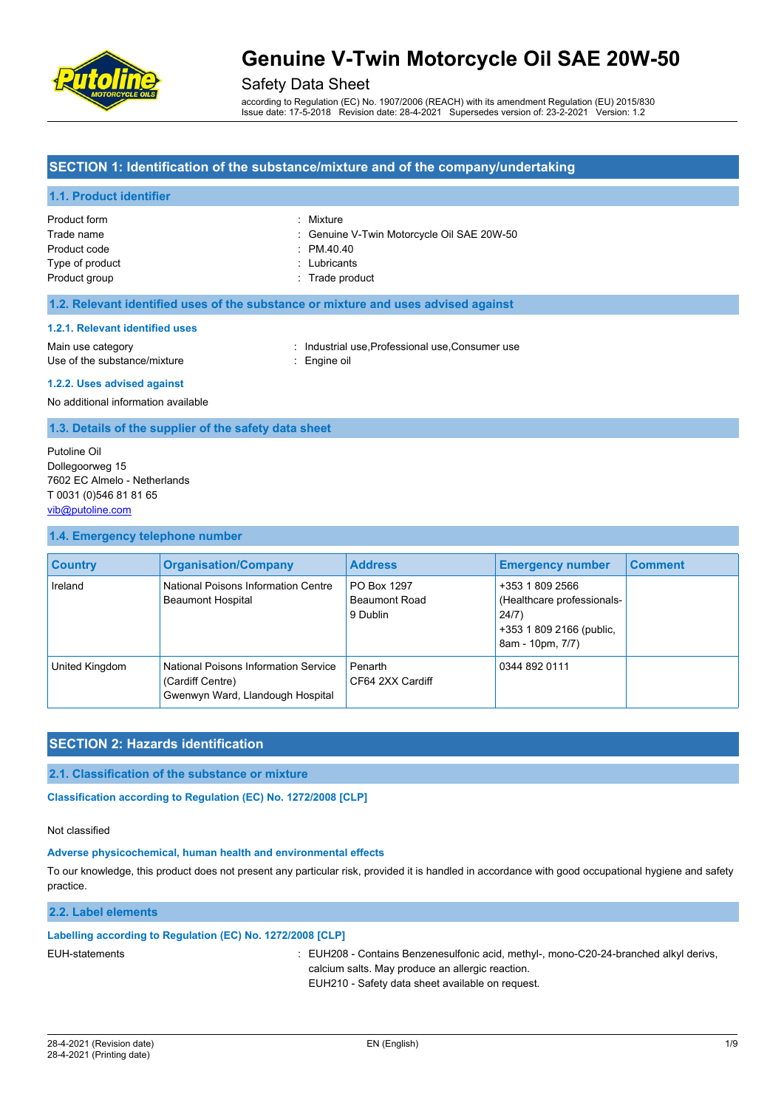

### Safety Data Sheet

according to Regulation (EC) No. 1907/2006 (REACH) with its amendment Regulation (EU) 2015/830 Issue date: 17-5-2018 Revision date: 28-4-2021 Supersedes version of: 23-2-2021 Version: 1.2

### **SECTION 1: Identification of the substance/mixture and of the company/undertaking**

#### **1.1. Product identifier**

| Product form    | : Mixture                                  |
|-----------------|--------------------------------------------|
| Trade name      | : Genuine V-Twin Motorcycle Oil SAE 20W-50 |
| Product code    | PMA0.40                                    |
| Type of product | : Lubricants                               |
| Product group   | : Trade product                            |

#### **1.2. Relevant identified uses of the substance or mixture and uses advised against**

#### **1.2.1. Relevant identified uses**

Main use category **industrial use, Professional use, Consumer use** in Main use category Use of the substance/mixture in the substance oil

#### **1.2.2. Uses advised against**

No additional information available

#### **1.3. Details of the supplier of the safety data sheet**

Putoline Oil Dollegoorweg 15 7602 EC Almelo - Netherlands T 0031 (0)546 81 81 65 [vib@putoline.com](mailto:vib@putoline.com)

#### **1.4. Emergency telephone number**

| <b>Country</b> | <b>Organisation/Company</b>                                                                  | <b>Address</b>                                  | <b>Emergency number</b>                                                                                | <b>Comment</b> |
|----------------|----------------------------------------------------------------------------------------------|-------------------------------------------------|--------------------------------------------------------------------------------------------------------|----------------|
| Ireland        | National Poisons Information Centre<br><b>Beaumont Hospital</b>                              | PO Box 1297<br><b>Beaumont Road</b><br>9 Dublin | +353 1 809 2566<br>(Healthcare professionals-<br>24/7)<br>+353 1 809 2166 (public,<br>8am - 10pm, 7/7) |                |
| United Kingdom | National Poisons Information Service<br>(Cardiff Centre)<br>Gwenwyn Ward, Llandough Hospital | Penarth<br>CF64 2XX Cardiff                     | 0344 892 0111                                                                                          |                |

### **SECTION 2: Hazards identification**

#### **2.1. Classification of the substance or mixture**

**Classification according to Regulation (EC) No. 1272/2008 [CLP]** 

Not classified

#### **Adverse physicochemical, human health and environmental effects**

To our knowledge, this product does not present any particular risk, provided it is handled in accordance with good occupational hygiene and safety practice.

#### **2.2. Label elements**

#### **Labelling according to Regulation (EC) No. 1272/2008 [CLP]**

EUH-statements **in the statements** : EUH208 - Contains Benzenesulfonic acid, methyl-, mono-C20-24-branched alkyl derivs, calcium salts. May produce an allergic reaction.

EUH210 - Safety data sheet available on request.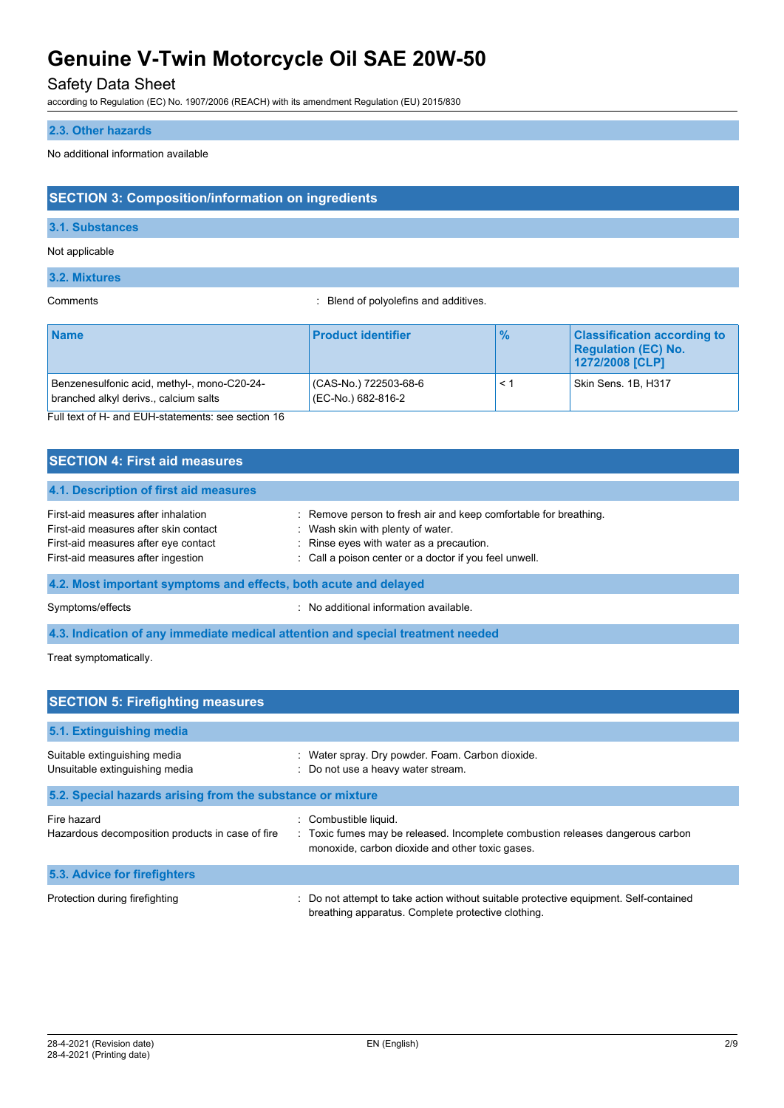### Safety Data Sheet

according to Regulation (EC) No. 1907/2006 (REACH) with its amendment Regulation (EU) 2015/830

#### **2.3. Other hazards**

No additional information available

### **SECTION 3: Composition/information on ingredients**

#### **3.1. Substances**

#### Not applicable

#### **3.2. Mixtures**

Comments **Comments** : Blend of polyolefins and additives.

| <b>Name</b>                                                                          | <b>Product identifier</b>                   | $\frac{9}{6}$ | <b>Classification according to</b><br><b>Regulation (EC) No.</b><br>1272/2008 [CLP] |
|--------------------------------------------------------------------------------------|---------------------------------------------|---------------|-------------------------------------------------------------------------------------|
| Benzenesulfonic acid, methyl-, mono-C20-24-<br>branched alkyl derivs., calcium salts | (CAS-No.) 722503-68-6<br>(EC-No.) 682-816-2 | ← 1           | Skin Sens. 1B, H317                                                                 |

Full text of H- and EUH-statements: see section 16

### **SECTION 4: First aid measures**

#### **4.1. Description of first aid measures**

| First-aid measures after inhalation   | : Remove person to fresh air and keep comfortable for breathing. |
|---------------------------------------|------------------------------------------------------------------|
| First-aid measures after skin contact | : Wash skin with plenty of water.                                |
| First-aid measures after eye contact  | : Rinse eyes with water as a precaution.                         |
| First-aid measures after ingestion    | : Call a poison center or a doctor if you feel unwell.           |

**4.2. Most important symptoms and effects, both acute and delayed**

Symptoms/effects **in the symptoms/effects** in the symptoms/effects in the symptoms of  $\mathbb{R}^n$ . No additional information available.

**4.3. Indication of any immediate medical attention and special treatment needed**

Treat symptomatically.

| <b>SECTION 5: Firefighting measures</b>                         |                                                                                                                                                            |  |  |  |
|-----------------------------------------------------------------|------------------------------------------------------------------------------------------------------------------------------------------------------------|--|--|--|
| 5.1. Extinguishing media                                        |                                                                                                                                                            |  |  |  |
| Suitable extinguishing media<br>Unsuitable extinguishing media  | : Water spray. Dry powder. Foam. Carbon dioxide.<br>: Do not use a heavy water stream.                                                                     |  |  |  |
| 5.2. Special hazards arising from the substance or mixture      |                                                                                                                                                            |  |  |  |
| Fire hazard<br>Hazardous decomposition products in case of fire | : Combustible liquid.<br>: Toxic fumes may be released. Incomplete combustion releases dangerous carbon<br>monoxide, carbon dioxide and other toxic gases. |  |  |  |
| 5.3. Advice for firefighters                                    |                                                                                                                                                            |  |  |  |
| Protection during firefighting                                  | : Do not attempt to take action without suitable protective equipment. Self-contained<br>breathing apparatus. Complete protective clothing.                |  |  |  |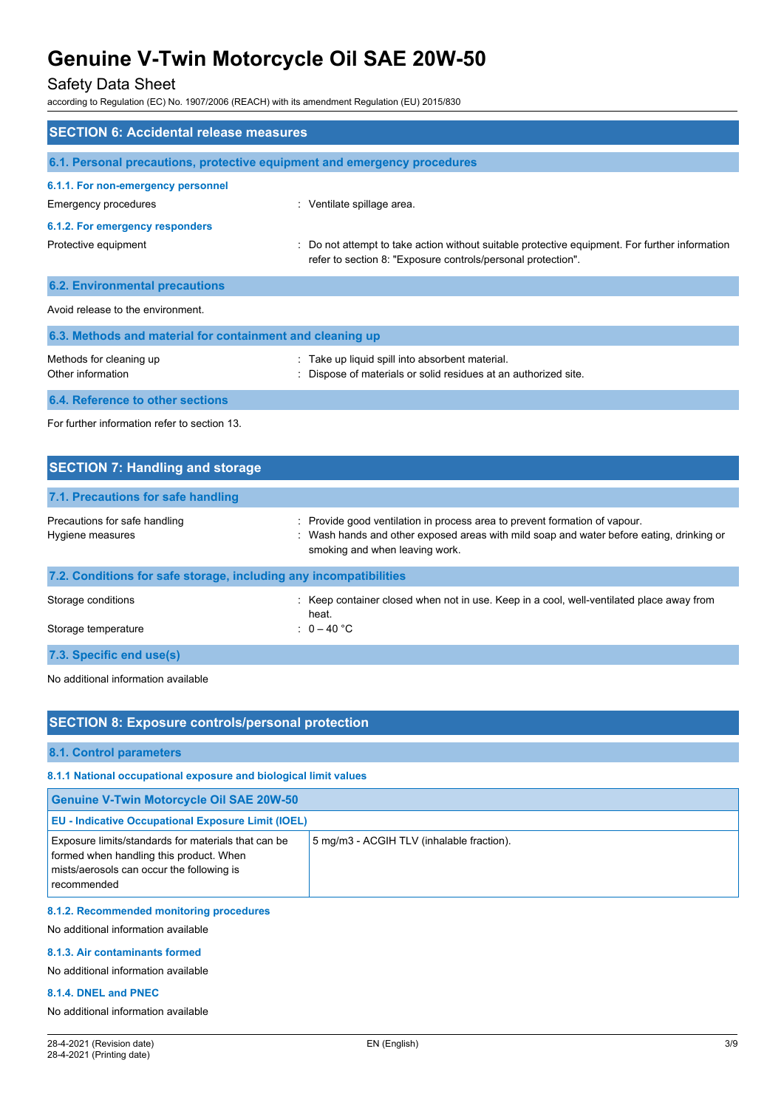## Safety Data Sheet

according to Regulation (EC) No. 1907/2006 (REACH) with its amendment Regulation (EU) 2015/830

| <b>SECTION 6: Accidental release measures</b>                                    |                                                                                                                                                              |  |
|----------------------------------------------------------------------------------|--------------------------------------------------------------------------------------------------------------------------------------------------------------|--|
| 6.1. Personal precautions, protective equipment and emergency procedures         |                                                                                                                                                              |  |
| 6.1.1. For non-emergency personnel<br>Emergency procedures                       | : Ventilate spillage area.                                                                                                                                   |  |
| 6.1.2. For emergency responders                                                  |                                                                                                                                                              |  |
| Protective equipment                                                             | Do not attempt to take action without suitable protective equipment. For further information<br>refer to section 8: "Exposure controls/personal protection". |  |
| <b>6.2. Environmental precautions</b>                                            |                                                                                                                                                              |  |
| Avoid release to the environment.                                                |                                                                                                                                                              |  |
| 6.3. Methods and material for containment and cleaning up                        |                                                                                                                                                              |  |
| Methods for cleaning up<br>Other information                                     | : Take up liquid spill into absorbent material.<br>Dispose of materials or solid residues at an authorized site.                                             |  |
| 6.4. Reference to other sections                                                 |                                                                                                                                                              |  |
| $\Gamma$ and function in the case of the problem that are at the set of $\Omega$ |                                                                                                                                                              |  |

For further information refer to section 13.

| <b>SECTION 7: Handling and storage</b>                            |                                                                                                                                                                                                          |
|-------------------------------------------------------------------|----------------------------------------------------------------------------------------------------------------------------------------------------------------------------------------------------------|
| 7.1. Precautions for safe handling                                |                                                                                                                                                                                                          |
| Precautions for safe handling<br>Hygiene measures                 | : Provide good ventilation in process area to prevent formation of vapour.<br>: Wash hands and other exposed areas with mild soap and water before eating, drinking or<br>smoking and when leaving work. |
| 7.2. Conditions for safe storage, including any incompatibilities |                                                                                                                                                                                                          |
| Storage conditions                                                | : Keep container closed when not in use. Keep in a cool, well-ventilated place away from<br>heat.                                                                                                        |
| Storage temperature                                               | : $0 - 40 °C$                                                                                                                                                                                            |
| 7.3. Specific end use(s)                                          |                                                                                                                                                                                                          |

No additional information available

| <b>SECTION 8: Exposure controls/personal protection</b>                                                                                                    |                                           |  |
|------------------------------------------------------------------------------------------------------------------------------------------------------------|-------------------------------------------|--|
| 8.1. Control parameters                                                                                                                                    |                                           |  |
| 8.1.1 National occupational exposure and biological limit values                                                                                           |                                           |  |
| <b>Genuine V-Twin Motorcycle Oil SAE 20W-50</b>                                                                                                            |                                           |  |
| <b>EU - Indicative Occupational Exposure Limit (IOEL)</b>                                                                                                  |                                           |  |
| Exposure limits/standards for materials that can be<br>formed when handling this product. When<br>mists/aerosols can occur the following is<br>recommended | 5 mg/m3 - ACGIH TLV (inhalable fraction). |  |

#### **8.1.2. Recommended monitoring procedures**

No additional information available

#### **8.1.3. Air contaminants formed**

No additional information available

#### **8.1.4. DNEL and PNEC**

No additional information available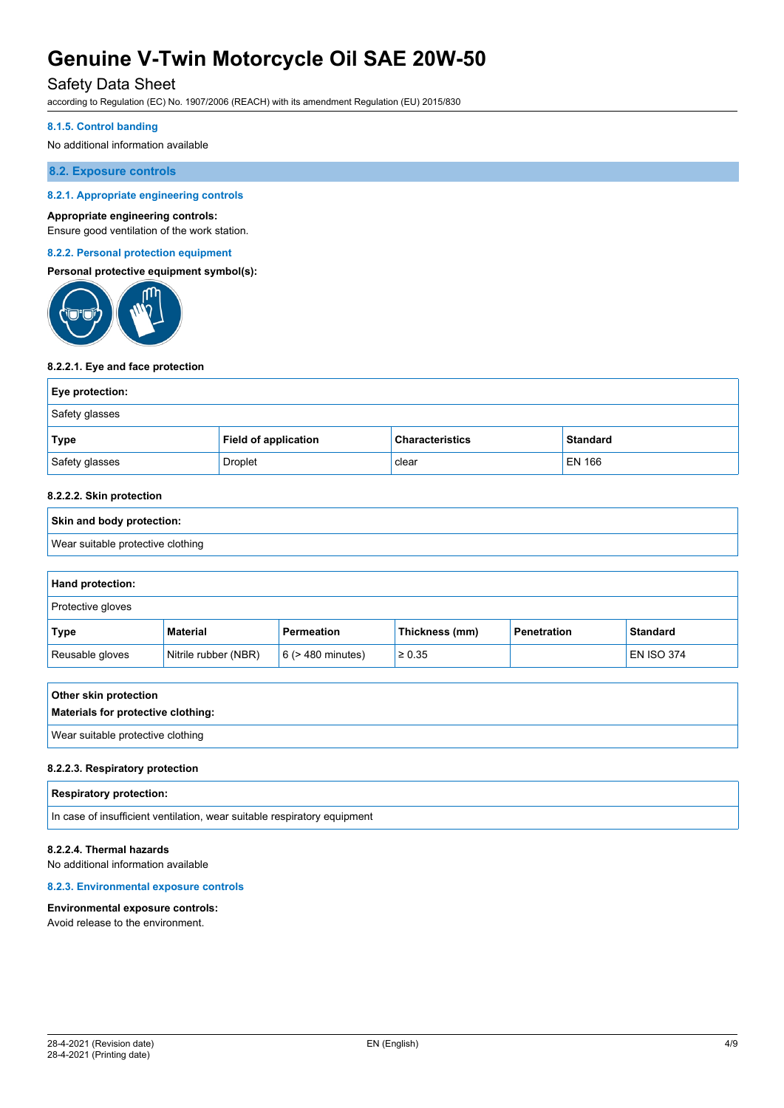### Safety Data Sheet

according to Regulation (EC) No. 1907/2006 (REACH) with its amendment Regulation (EU) 2015/830

#### **8.1.5. Control banding**

No additional information available

#### **8.2. Exposure controls**

#### **8.2.1. Appropriate engineering controls**

#### **Appropriate engineering controls:**

Ensure good ventilation of the work station.

#### **8.2.2. Personal protection equipment**

### **Personal protective equipment symbol(s):**



#### **8.2.2.1. Eye and face protection**

| Eye protection: |                             |                        |                 |
|-----------------|-----------------------------|------------------------|-----------------|
| Safety glasses  |                             |                        |                 |
| Type            | <b>Field of application</b> | <b>Characteristics</b> | <b>Standard</b> |
| Safety glasses  | Droplet                     | clear                  | <b>EN 166</b>   |

#### **8.2.2.2. Skin protection**

# **Skin and body protection:** Wear suitable protective clothing

| <b>Hand protection:</b> |                      |                        |                |             |                   |
|-------------------------|----------------------|------------------------|----------------|-------------|-------------------|
| Protective gloves       |                      |                        |                |             |                   |
| Type                    | Material             | Permeation             | Thickness (mm) | Penetration | <b>Standard</b>   |
| Reusable gloves         | Nitrile rubber (NBR) | $6$ ( $>$ 480 minutes) | $\geq 0.35$    |             | <b>EN ISO 374</b> |

| Other skin protection              |
|------------------------------------|
| Materials for protective clothing: |
| Wear suitable protective clothing  |

#### **8.2.2.3. Respiratory protection**

| <b>Respiratory protection:</b>                                           |  |
|--------------------------------------------------------------------------|--|
| In case of insufficient ventilation, wear suitable respiratory equipment |  |

#### **8.2.2.4. Thermal hazards**

No additional information available

#### **8.2.3. Environmental exposure controls**

#### **Environmental exposure controls:**

Avoid release to the environment.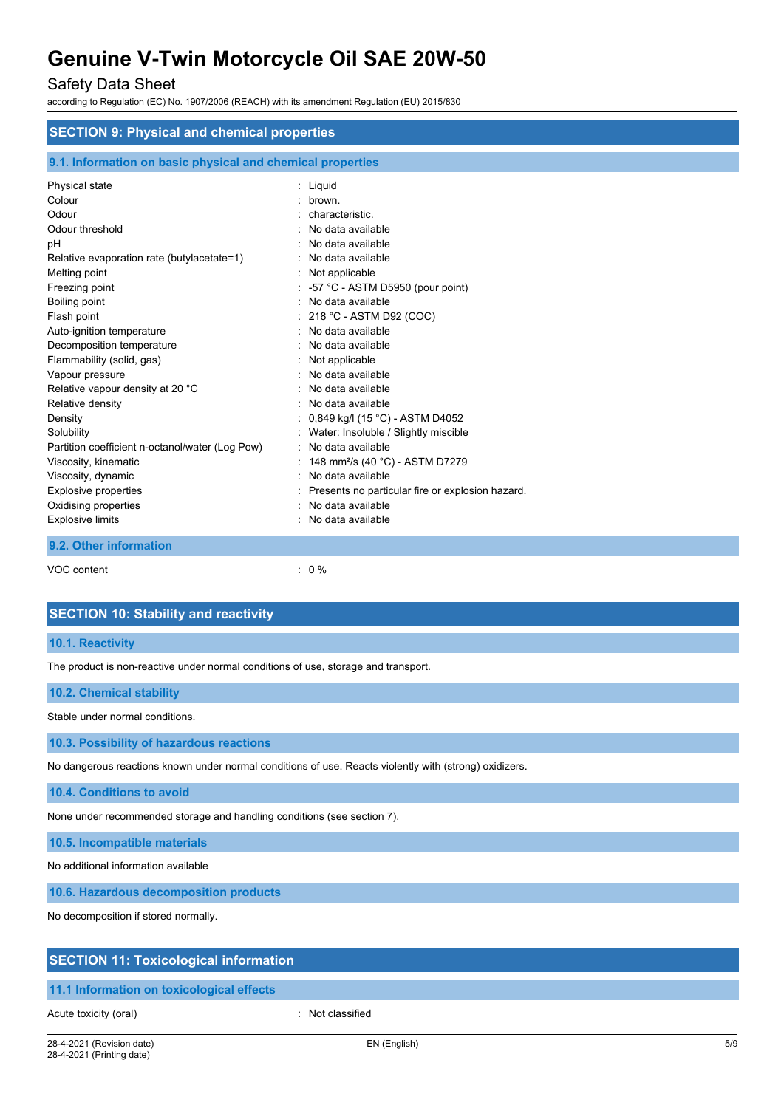### Safety Data Sheet

according to Regulation (EC) No. 1907/2006 (REACH) with its amendment Regulation (EU) 2015/830

| <b>SECTION 9: Physical and chemical properties</b><br>9.1. Information on basic physical and chemical properties |                   |  |
|------------------------------------------------------------------------------------------------------------------|-------------------|--|
|                                                                                                                  |                   |  |
| <b>Explosive limits</b><br>9.2. Other information                                                                | No data available |  |

VOC content : 0 %

| <b>SECTION 10: Stability and reactivity</b>                                                            |
|--------------------------------------------------------------------------------------------------------|
| 10.1. Reactivity                                                                                       |
| The product is non-reactive under normal conditions of use, storage and transport.                     |
| <b>10.2. Chemical stability</b>                                                                        |
| Stable under normal conditions.                                                                        |
| 10.3. Possibility of hazardous reactions                                                               |
| No dangerous reactions known under normal conditions of use. Reacts violently with (strong) oxidizers. |
| 10.4. Conditions to avoid                                                                              |

None under recommended storage and handling conditions (see section 7).

**10.5. Incompatible materials**

No additional information available

**10.6. Hazardous decomposition products**

No decomposition if stored normally.

### **SECTION 11: Toxicological information**

#### **11.1 Information on toxicological effects**

Acute toxicity (oral) **interest and the Contract Contract Contract Contract Contract Contract Contract Contract Contract Contract Contract Contract Contract Contract Contract Contract Contract Contract Contract Contract Co**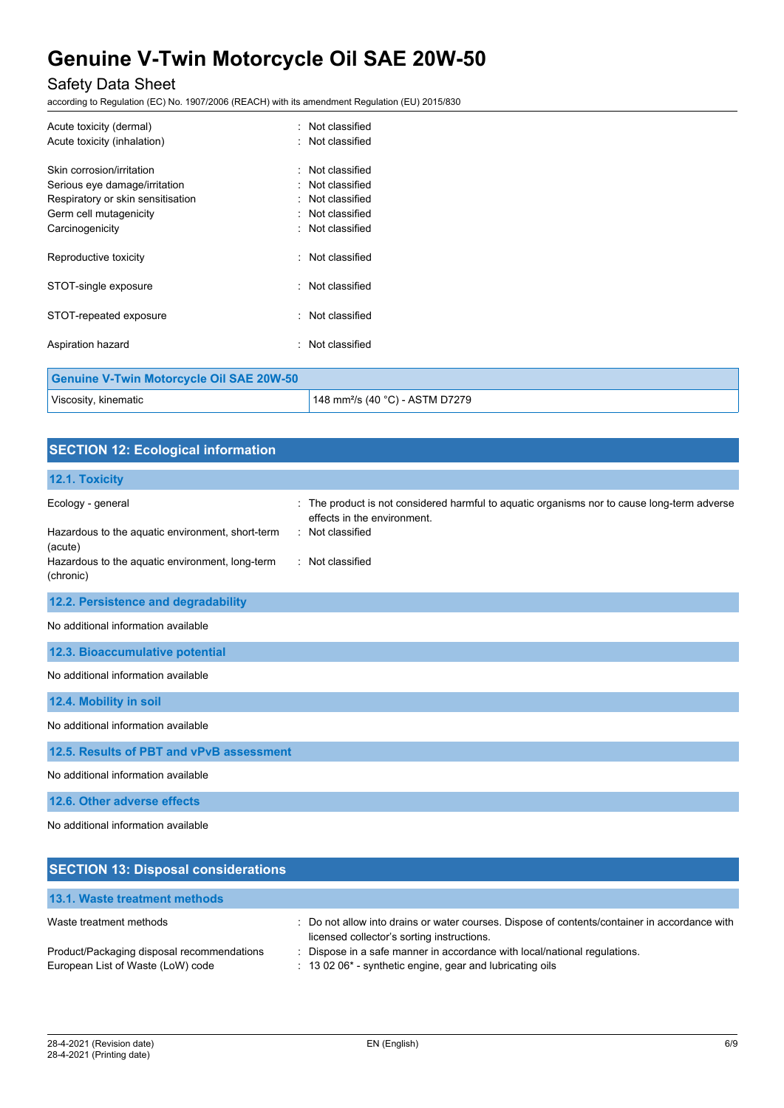# Safety Data Sheet

according to Regulation (EC) No. 1907/2006 (REACH) with its amendment Regulation (EU) 2015/830

| Acute toxicity (dermal)<br>Acute toxicity (inhalation)                                                                                       | : Not classified<br>: Not classified                                                     |
|----------------------------------------------------------------------------------------------------------------------------------------------|------------------------------------------------------------------------------------------|
| Skin corrosion/irritation<br>Serious eye damage/irritation<br>Respiratory or skin sensitisation<br>Germ cell mutagenicity<br>Carcinogenicity | Not classified<br>Not classified<br>Not classified<br>: Not classified<br>Not classified |
| Reproductive toxicity                                                                                                                        | Not classified                                                                           |
| STOT-single exposure                                                                                                                         | Not classified                                                                           |
| STOT-repeated exposure                                                                                                                       | Not classified                                                                           |
| Aspiration hazard                                                                                                                            | Not classified                                                                           |
| Convine V Twin Metersycle Oil CAE 2014 ED                                                                                                    |                                                                                          |

| Genuine V-Twin Motorcycle Oil SAE 20W-50 |                                             |
|------------------------------------------|---------------------------------------------|
| Viscosity, kinematic                     | 148 mm <sup>2</sup> /s (40 °C) - ASTM D7279 |

| <b>SECTION 12: Ecological information</b>                                                                                           |                                                                                                                                                                  |
|-------------------------------------------------------------------------------------------------------------------------------------|------------------------------------------------------------------------------------------------------------------------------------------------------------------|
| 12.1. Toxicity                                                                                                                      |                                                                                                                                                                  |
| Ecology - general<br>Hazardous to the aquatic environment, short-term<br>(acute)<br>Hazardous to the aquatic environment, long-term | The product is not considered harmful to aquatic organisms nor to cause long-term adverse<br>effects in the environment.<br>: Not classified<br>: Not classified |
| (chronic)                                                                                                                           |                                                                                                                                                                  |
| 12.2. Persistence and degradability                                                                                                 |                                                                                                                                                                  |
| No additional information available                                                                                                 |                                                                                                                                                                  |
| 12.3. Bioaccumulative potential                                                                                                     |                                                                                                                                                                  |
| No additional information available                                                                                                 |                                                                                                                                                                  |
| 12.4. Mobility in soil                                                                                                              |                                                                                                                                                                  |
| No additional information available                                                                                                 |                                                                                                                                                                  |
| 12.5. Results of PBT and vPvB assessment                                                                                            |                                                                                                                                                                  |
| No additional information available                                                                                                 |                                                                                                                                                                  |
| 12.6. Other adverse effects                                                                                                         |                                                                                                                                                                  |
| No additional information available                                                                                                 |                                                                                                                                                                  |
| <b>SECTION 13: Disposal considerations</b>                                                                                          |                                                                                                                                                                  |

| 13.1. Waste treatment methods                                                   |                                                                                                                                                               |
|---------------------------------------------------------------------------------|---------------------------------------------------------------------------------------------------------------------------------------------------------------|
| Waste treatment methods                                                         | : Do not allow into drains or water courses. Dispose of contents/container in accordance with<br>licensed collector's sorting instructions.                   |
| Product/Packaging disposal recommendations<br>European List of Waste (LoW) code | : Dispose in a safe manner in accordance with local/national regulations.<br>$\therefore$ 13 02 06 <sup>*</sup> - synthetic engine, gear and lubricating oils |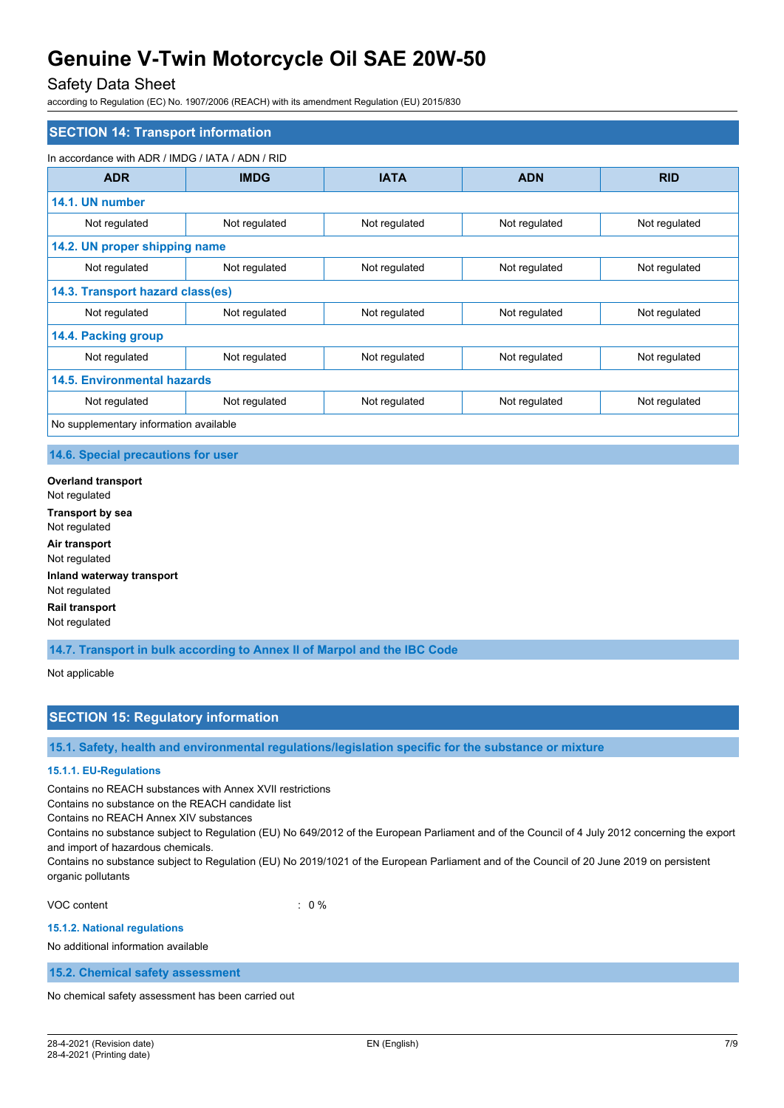### Safety Data Sheet

according to Regulation (EC) No. 1907/2006 (REACH) with its amendment Regulation (EU) 2015/830

| <b>SECTION 14: Transport information</b>         |               |               |               |               |
|--------------------------------------------------|---------------|---------------|---------------|---------------|
| In accordance with ADR / IMDG / IATA / ADN / RID |               |               |               |               |
| <b>ADR</b>                                       | <b>IMDG</b>   | <b>IATA</b>   | <b>ADN</b>    | <b>RID</b>    |
| 14.1. UN number                                  |               |               |               |               |
| Not regulated                                    | Not regulated | Not regulated | Not regulated | Not regulated |
| 14.2. UN proper shipping name                    |               |               |               |               |
| Not regulated                                    | Not regulated | Not regulated | Not regulated | Not regulated |
| 14.3. Transport hazard class(es)                 |               |               |               |               |
| Not regulated                                    | Not regulated | Not regulated | Not regulated | Not regulated |
| 14.4. Packing group                              |               |               |               |               |
| Not regulated                                    | Not regulated | Not regulated | Not regulated | Not regulated |
| 14.5. Environmental hazards                      |               |               |               |               |
| Not regulated                                    | Not regulated | Not regulated | Not regulated | Not regulated |
| No supplementary information available           |               |               |               |               |

#### **14.6. Special precautions for user**

**Overland transport** Not regulated **Transport by sea** Not regulated **Air transport** Not regulated **Inland waterway transport** Not regulated **Rail transport** Not regulated

**14.7. Transport in bulk according to Annex II of Marpol and the IBC Code**

Not applicable

### **SECTION 15: Regulatory information**

**15.1. Safety, health and environmental regulations/legislation specific for the substance or mixture**

#### **15.1.1. EU-Regulations**

Contains no REACH substances with Annex XVII restrictions

Contains no substance on the REACH candidate list

Contains no REACH Annex XIV substances

Contains no substance subject to Regulation (EU) No 649/2012 of the European Parliament and of the Council of 4 July 2012 concerning the export and import of hazardous chemicals.

Contains no substance subject to Regulation (EU) No 2019/1021 of the European Parliament and of the Council of 20 June 2019 on persistent organic pollutants

VOC content  $\qquad \qquad : \qquad 0 \%$ 

### **15.1.2. National regulations**

No additional information available

**15.2. Chemical safety assessment**

No chemical safety assessment has been carried out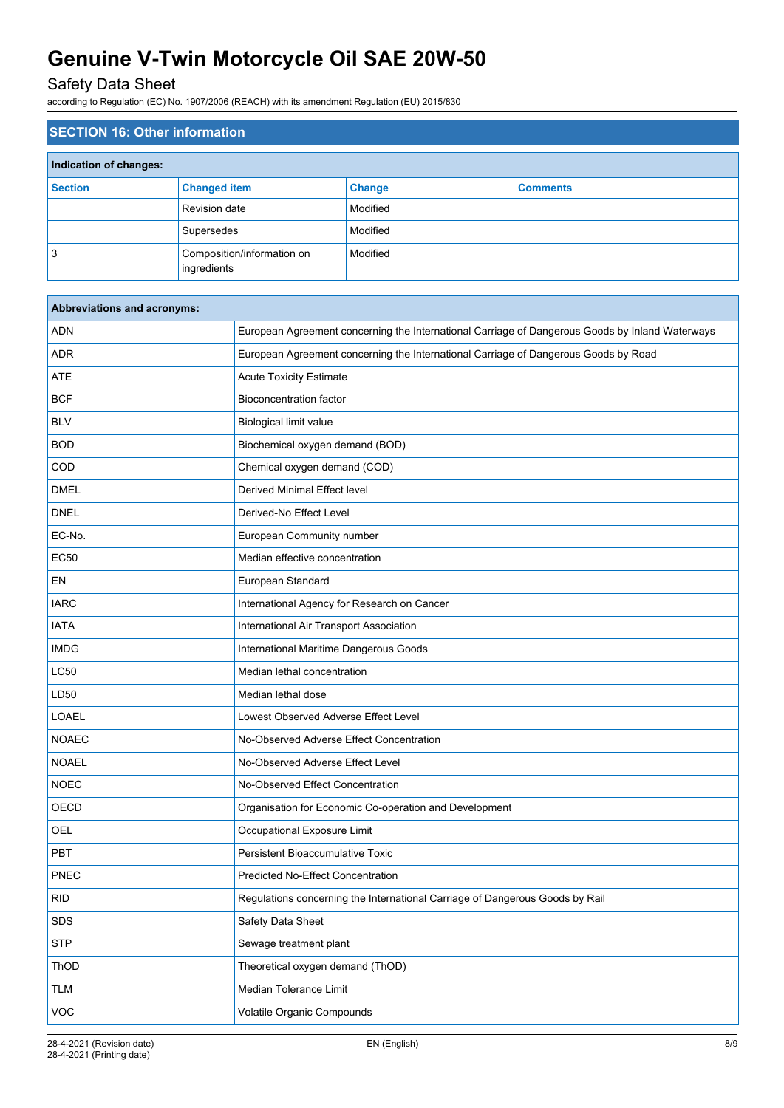# Safety Data Sheet

according to Regulation (EC) No. 1907/2006 (REACH) with its amendment Regulation (EU) 2015/830

| <b>SECTION 16: Other information</b> |                                           |          |                 |
|--------------------------------------|-------------------------------------------|----------|-----------------|
| Indication of changes:               |                                           |          |                 |
| <b>Section</b>                       | <b>Changed item</b>                       | Change   | <b>Comments</b> |
|                                      | <b>Revision date</b>                      | Modified |                 |
|                                      | Supersedes                                | Modified |                 |
| 3                                    | Composition/information on<br>ingredients | Modified |                 |

| Abbreviations and acronyms: |                                                                                                 |
|-----------------------------|-------------------------------------------------------------------------------------------------|
| <b>ADN</b>                  | European Agreement concerning the International Carriage of Dangerous Goods by Inland Waterways |
| <b>ADR</b>                  | European Agreement concerning the International Carriage of Dangerous Goods by Road             |
| <b>ATE</b>                  | <b>Acute Toxicity Estimate</b>                                                                  |
| <b>BCF</b>                  | <b>Bioconcentration factor</b>                                                                  |
| <b>BLV</b>                  | Biological limit value                                                                          |
| <b>BOD</b>                  | Biochemical oxygen demand (BOD)                                                                 |
| COD                         | Chemical oxygen demand (COD)                                                                    |
| <b>DMEL</b>                 | Derived Minimal Effect level                                                                    |
| <b>DNEL</b>                 | Derived-No Effect Level                                                                         |
| EC-No.                      | European Community number                                                                       |
| <b>EC50</b>                 | Median effective concentration                                                                  |
| EN                          | European Standard                                                                               |
| <b>IARC</b>                 | International Agency for Research on Cancer                                                     |
| <b>IATA</b>                 | International Air Transport Association                                                         |
| <b>IMDG</b>                 | International Maritime Dangerous Goods                                                          |
| <b>LC50</b>                 | Median lethal concentration                                                                     |
| LD50                        | Median lethal dose                                                                              |
| <b>LOAEL</b>                | Lowest Observed Adverse Effect Level                                                            |
| <b>NOAEC</b>                | No-Observed Adverse Effect Concentration                                                        |
| <b>NOAEL</b>                | No-Observed Adverse Effect Level                                                                |
| <b>NOEC</b>                 | No-Observed Effect Concentration                                                                |
| OECD                        | Organisation for Economic Co-operation and Development                                          |
| OEL                         | Occupational Exposure Limit                                                                     |
| PBT                         | <b>Persistent Bioaccumulative Toxic</b>                                                         |
| PNEC                        | <b>Predicted No-Effect Concentration</b>                                                        |
| <b>RID</b>                  | Regulations concerning the International Carriage of Dangerous Goods by Rail                    |
| SDS                         | Safety Data Sheet                                                                               |
| <b>STP</b>                  | Sewage treatment plant                                                                          |
| ThOD                        | Theoretical oxygen demand (ThOD)                                                                |
| <b>TLM</b>                  | Median Tolerance Limit                                                                          |
| <b>VOC</b>                  | Volatile Organic Compounds                                                                      |
|                             |                                                                                                 |